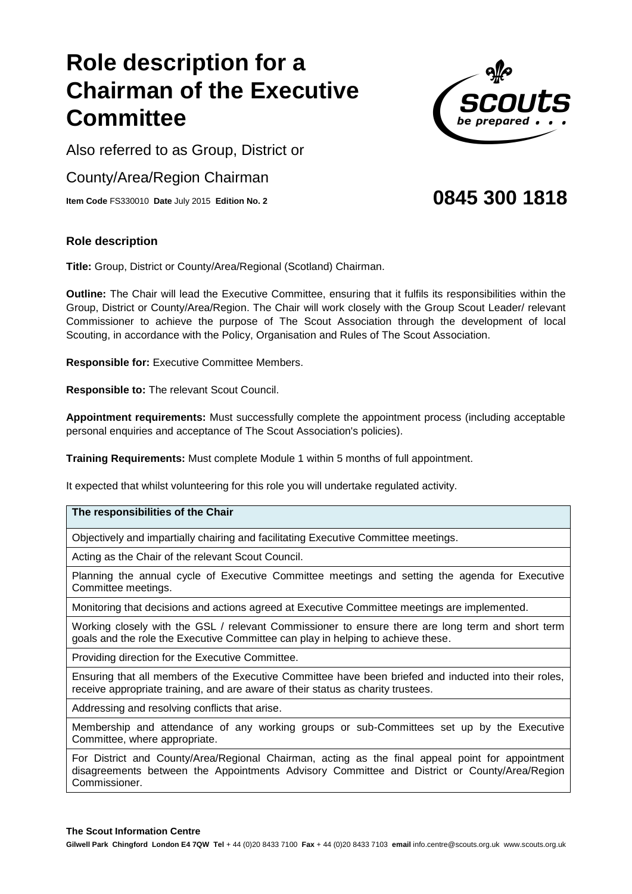# **Role description for a Chair man of the Executive Committee**

Also referred to as Group, District or

County /Area/Region Chairman

**Item Code** FS33 0010 **Date** July 2015 **Edition No. 2**

### **Role description**

**Title:** Group, District or County/Area/Regional (Scotland) Chairman.

**Outline:** The Chair will lead the Executive Committee, ensuring that it fulfils its responsibilities within the Group, District or County/Area/Region. The Chair will work closely with the Group Scout Leader/ relevant Commissioner to achieve the purpose of The Scout Association through the development of local Scouting, in accordance with the Policy, Organisation and Rules of The Scout Association.

**Responsible for:** Executive Committee Members.

**Responsible to:** The relevant Scout Council.

**Appointment requirements:** Must successfully complete the appointment process (including acceptable personal enquiries and acceptance of The Scout Association's policies).

**Training Requirements:** Must complete Module 1 within 5 months of full appointment.

It expected that whilst volunteering for this role you will undertake regulated activity.

### **The responsibilities of the Chair**

Objectively and impartially chairing and facilitating Executive Committee meetings.

Acting as the Chair of the relevant Scout Council.

Planning the annual cycle of Executive Committee meetings and setting the agenda for Executive Committee meetings.

Monitoring that decisions and actions agreed at Executive Committee meetings are implemented.

Working closely with the GSL / relevant Commissioner to ensure there are long term and short term goals and the role the Executive Committee can play in helping to achieve these.

Providing direction for the Executive Committee.

Ensuring that all members of the Executive Committee have been briefed and inducted into their roles, receive appropriate training, and are aware of their status as charity trustees.

Addressing and resolving conflicts that arise.

Membership and attendance of any working groups or sub-Committees set up by the Executive Committee, where appropriate.

For District and County/Area/Regional Chairman, acting as the final appeal point for appointment disagreements between the Appointments Advisory Committee and District or County/Area/Region Commissioner.



## **0845 300 1818**